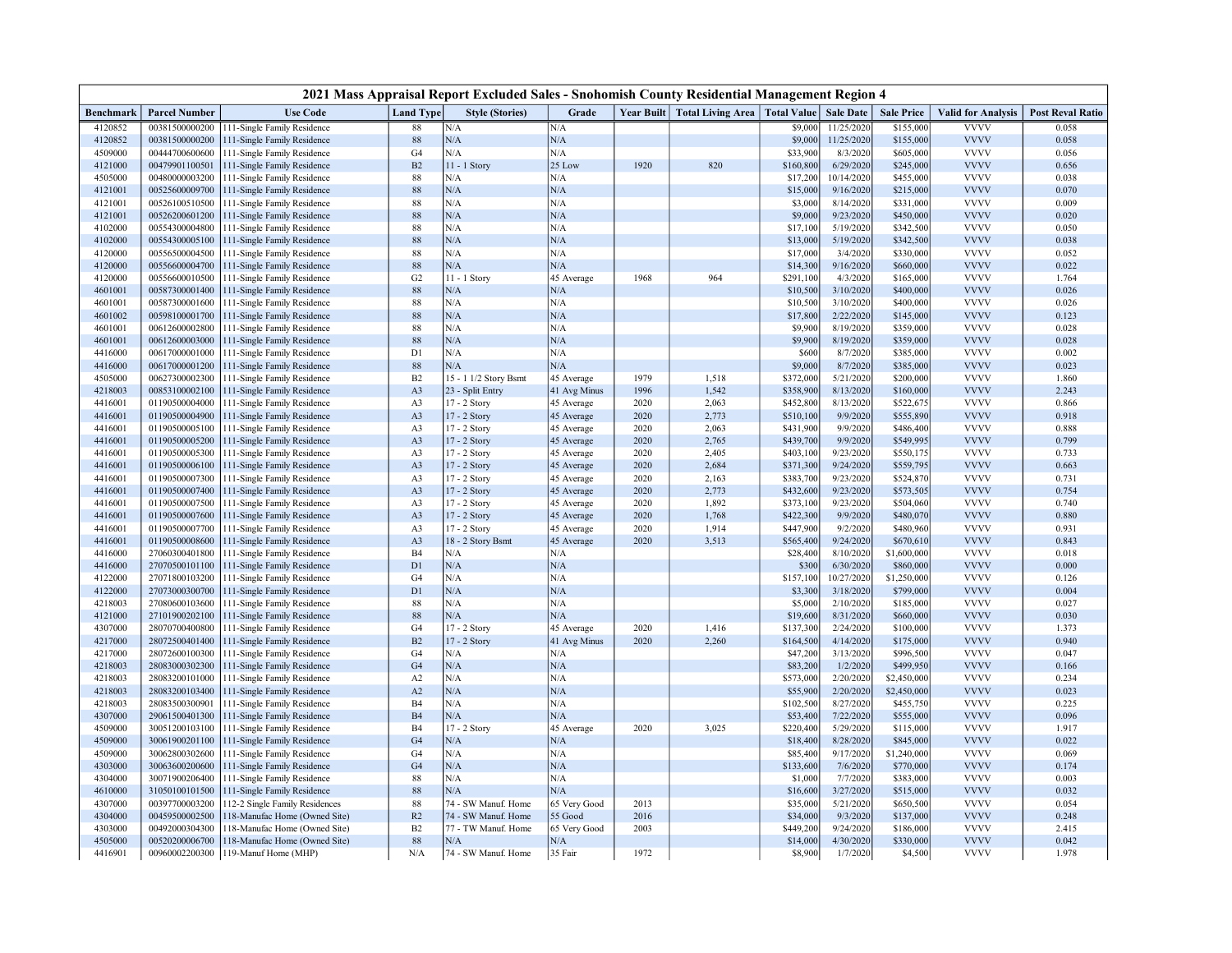| 2021 Mass Appraisal Report Excluded Sales - Snohomish County Residential Management Region 4 |                                  |                                                            |                      |                        |              |              |                                |                    |                        |                          |                            |                         |
|----------------------------------------------------------------------------------------------|----------------------------------|------------------------------------------------------------|----------------------|------------------------|--------------|--------------|--------------------------------|--------------------|------------------------|--------------------------|----------------------------|-------------------------|
| Benchmark                                                                                    | <b>Parcel Number</b>             | <b>Use Code</b>                                            | <b>Land Type</b>     | <b>Style (Stories)</b> | Grade        |              | Year Built   Total Living Area | <b>Total Value</b> | <b>Sale Date</b>       | <b>Sale Price</b>        | <b>Valid for Analysis</b>  | <b>Post Reval Ratio</b> |
| 4120852                                                                                      | 00381500000200                   | 111-Single Family Residence                                | 88                   | N/A                    | N/A          |              |                                | \$9,000            | 11/25/2020             | \$155,000                | <b>VVVV</b>                | 0.058                   |
| 4120852                                                                                      | 00381500000200                   | 111-Single Family Residence                                | 88                   | N/A                    | N/A          |              |                                | \$9,000            | 11/25/2020             | \$155,000                | <b>VVVV</b>                | 0.058                   |
| 4509000                                                                                      | 00444700600600                   | 111-Single Family Residence                                | G4                   | N/A                    | N/A          |              |                                | \$33,900           | 8/3/2020               | \$605,000                | <b>VVVV</b>                | 0.056                   |
| 4121000                                                                                      | 00479901100501                   | 111-Single Family Residence                                | $\rm B2$             | 11 - 1 Story           | 25 Low       | 1920         | 820                            | \$160,800          | 6/29/2020              | \$245,000                | <b>VVVV</b>                | 0.656                   |
| 4505000                                                                                      | 00480000003200                   | 111-Single Family Residence                                | $88\,$               | N/A                    | N/A          |              |                                | \$17,200           | 10/14/2020             | \$455,000                | <b>VVVV</b>                | 0.038                   |
| 4121001                                                                                      | 00525600009700                   | 111-Single Family Residence                                | 88                   | N/A                    | N/A          |              |                                | \$15,000           | 9/16/2020              | \$215,000                | <b>VVVV</b>                | 0.070                   |
| 4121001                                                                                      | 00526100510500                   | 111-Single Family Residence                                | 88                   | N/A                    | N/A          |              |                                | \$3,000            | 8/14/2020              | \$331,000                | <b>VVVV</b>                | 0.009                   |
| 4121001                                                                                      | 00526200601200                   | 111-Single Family Residence                                | 88                   | N/A                    | N/A          |              |                                | \$9,000            | 9/23/2020              | \$450,000                | <b>VVVV</b>                | 0.020                   |
| 4102000                                                                                      | 00554300004800                   | 111-Single Family Residence                                | 88                   | N/A                    | N/A          |              |                                | \$17,100           | 5/19/2020              | \$342,500                | <b>VVVV</b>                | 0.050                   |
| 4102000                                                                                      | 00554300005100                   | 111-Single Family Residence                                | 88                   | N/A                    | N/A          |              |                                | \$13,000           | 5/19/2020              | \$342,500                | <b>VVVV</b>                | 0.038                   |
| 4120000                                                                                      | 00556500004500                   | 111-Single Family Residence                                | 88                   | N/A                    | N/A          |              |                                | \$17,000           | 3/4/2020               | \$330,000                | <b>VVVV</b>                | 0.052                   |
| 4120000                                                                                      | 00556600004700                   | 111-Single Family Residence                                | 88                   | N/A                    | N/A          |              |                                | \$14,300           | 9/16/2020              | \$660,000                | <b>VVVV</b>                | 0.022                   |
| 4120000                                                                                      | 00556600010500                   | 111-Single Family Residence                                | G <sub>2</sub>       | 11 - 1 Story           | 45 Average   | 1968         | 964                            | \$291,100          | 4/3/2020               | \$165,000                | <b>VVVV</b>                | 1.764                   |
| 4601001                                                                                      | 00587300001400                   | 111-Single Family Residence                                | 88                   | N/A                    | N/A          |              |                                | \$10,500           | 3/10/2020              | \$400,000                | <b>VVVV</b>                | 0.026                   |
| 4601001                                                                                      | 00587300001600                   | 111-Single Family Residence                                | 88                   | N/A                    | N/A          |              |                                | \$10,500           | 3/10/2020              | \$400,000                | <b>VVVV</b>                | 0.026                   |
| 4601002                                                                                      | 00598100001700                   | 111-Single Family Residence                                | 88                   | N/A                    | N/A          |              |                                | \$17,800           | 2/22/2020              | \$145,000                | <b>VVVV</b>                | 0.123                   |
| 4601001                                                                                      | 00612600002800                   | 111-Single Family Residence                                | $88\,$               | N/A                    | N/A          |              |                                | \$9,900            | 8/19/2020              | \$359,000                | <b>VVVV</b>                | 0.028                   |
| 4601001                                                                                      | 00612600003000                   | 111-Single Family Residence                                | 88                   | N/A                    | N/A          |              |                                | \$9,900            | 8/19/2020              | \$359,000                | <b>VVVV</b>                | 0.028                   |
| 4416000                                                                                      | 00617000001000                   | 111-Single Family Residence                                | D <sub>1</sub>       | N/A                    | N/A          |              |                                | \$600              | 8/7/2020               | \$385,000                | <b>VVVV</b>                | 0.002                   |
| 4416000                                                                                      | 00617000001200                   | 111-Single Family Residence                                | 88                   | N/A                    | N/A          |              |                                | \$9,000            | 8/7/2020               | \$385,000                | <b>VVVV</b>                | 0.023                   |
| 4505000                                                                                      | 00627300002300                   | 111-Single Family Residence                                | B2                   | 15 - 1 1/2 Story Bsmt  | 45 Average   | 1979         | 1,518                          | \$372,000          | 5/21/2020              | \$200,000                | <b>VVVV</b>                | 1.860                   |
| 4218003                                                                                      | 00853100002100                   | 111-Single Family Residence                                | A3                   | 23 - Split Entry       | 41 Avg Minus | 1996         | 1,542                          | \$358,900          | 8/13/2020              | \$160,000                | <b>VVVV</b>                | 2.243                   |
| 4416001                                                                                      | 01190500004000                   | 111-Single Family Residence                                | A3                   | 17 - 2 Story           | 45 Average   | 2020         | 2,063                          | \$452,800          | 8/13/2020              | \$522,675                | <b>VVVV</b>                | 0.866                   |
| 4416001                                                                                      | 01190500004900                   | 111-Single Family Residence                                | A3                   | 17 - 2 Story           | 45 Average   | 2020         | 2,773                          | \$510,100          | 9/9/2020               | \$555,890                | <b>VVVV</b>                | 0.918                   |
| 4416001                                                                                      | 01190500005100                   | 111-Single Family Residence                                | A <sub>3</sub>       | 17 - 2 Story           | 45 Average   | 2020         | 2,063                          | \$431,900          | 9/9/2020               | \$486,400                | <b>VVVV</b>                | 0.888                   |
| 4416001                                                                                      | 01190500005200                   | 111-Single Family Residence                                | A <sub>3</sub>       | 17 - 2 Story           | 45 Average   | 2020         | 2,765                          | \$439,700          | 9/9/2020               | \$549,995                | <b>VVVV</b>                | 0.799                   |
| 4416001                                                                                      | 01190500005300                   | 111-Single Family Residence                                | A3                   | 17 - 2 Story           | 45 Average   | 2020         | 2,405                          | \$403,100          | 9/23/2020              | \$550,175                | <b>VVVV</b>                | 0.733                   |
| 4416001                                                                                      | 01190500006100                   | 111-Single Family Residence                                | A3                   | 17 - 2 Story           | 45 Average   | 2020         | 2,684                          | \$371,300          | 9/24/2020              | \$559,795                | <b>VVVV</b>                | 0.663                   |
| 4416001                                                                                      | 01190500007300                   | 111-Single Family Residence                                | A <sub>3</sub>       | 17 - 2 Story           | 45 Average   | 2020         | 2,163                          | \$383,700          | 9/23/2020              | \$524,870                | <b>VVVV</b>                | 0.731                   |
| 4416001                                                                                      | 01190500007400                   | 111-Single Family Residence                                | A <sub>3</sub>       | 17 - 2 Story           | 45 Average   | 2020         | 2,773                          | \$432,600          | 9/23/2020              | \$573,505                | <b>VVVV</b>                | 0.754                   |
| 4416001                                                                                      | 01190500007500                   | 111-Single Family Residence                                | A <sub>3</sub>       | 17 - 2 Story           | 45 Average   | 2020         | 1,892                          | \$373,100          | 9/23/2020              | \$504,060                | <b>VVVV</b>                | 0.740                   |
| 4416001                                                                                      | 01190500007600                   | 111-Single Family Residence                                | A <sub>3</sub>       | 17 - 2 Story           | 45 Average   | 2020         | 1,768                          | \$422,300          | 9/9/2020               | \$480,070                | <b>VVVV</b><br><b>VVVV</b> | 0.880                   |
| 4416001                                                                                      | 01190500007700                   | 111-Single Family Residence                                | A3                   | 17 - 2 Story           | 45 Average   | 2020<br>2020 | 1,914                          | \$447,900          | 9/2/2020               | \$480,960                | <b>VVVV</b>                | 0.931                   |
| 4416001                                                                                      | 01190500008600                   | 111-Single Family Residence                                | A <sub>3</sub>       | 18 - 2 Story Bsmt      | 45 Average   |              | 3,513                          | \$565,400          | 9/24/2020              | \$670,610                | <b>VVVV</b>                | 0.843                   |
| 4416000<br>4416000                                                                           | 27060300401800<br>27070500101100 | 111-Single Family Residence                                | B <sub>4</sub><br>D1 | N/A<br>N/A             | N/A<br>N/A   |              |                                | \$28,400           | 8/10/2020<br>6/30/2020 | \$1,600,000<br>\$860,000 | <b>VVVV</b>                | 0.018<br>0.000          |
| 4122000                                                                                      | 27071800103200                   | 111-Single Family Residence<br>111-Single Family Residence | G4                   | N/A                    | N/A          |              |                                | \$300<br>\$157,100 | 10/27/2020             | \$1,250,000              | <b>VVVV</b>                | 0.126                   |
| 4122000                                                                                      | 27073000300700                   |                                                            | D1                   | N/A                    | N/A          |              |                                | \$3,300            | 3/18/2020              | \$799,000                | <b>VVVV</b>                | 0.004                   |
| 4218003                                                                                      | 27080600103600                   | 111-Single Family Residence<br>111-Single Family Residence | 88                   | N/A                    | N/A          |              |                                | \$5,000            | 2/10/2020              | \$185,000                | <b>VVVV</b>                | 0.027                   |
| 4121000                                                                                      | 27101900202100                   | 111-Single Family Residence                                | 88                   | N/A                    | $\rm N/A$    |              |                                | \$19,600           | 8/31/2020              | \$660,000                | <b>VVVV</b>                | 0.030                   |
| 4307000                                                                                      | 28070700400800                   | 111-Single Family Residence                                | G4                   | 17 - 2 Story           | 45 Average   | 2020         | 1,416                          | \$137,300          | 2/24/2020              | \$100,000                | <b>VVVV</b>                | 1.373                   |
| 4217000                                                                                      | 28072500401400                   | 111-Single Family Residence                                | B2                   | 17 - 2 Story           | 41 Avg Minus | 2020         | 2,260                          | \$164,500          | 4/14/2020              | \$175,000                | <b>VVVV</b>                | 0.940                   |
| 4217000                                                                                      | 28072600100300                   | 111-Single Family Residence                                | G4                   | N/A                    | N/A          |              |                                | \$47,200           | 3/13/2020              | \$996,500                | <b>VVVV</b>                | 0.047                   |
| 4218003                                                                                      | 28083000302300                   | 111-Single Family Residence                                | G4                   | N/A                    | N/A          |              |                                | \$83,200           | 1/2/2020               | \$499,950                | <b>VVVV</b>                | 0.166                   |
| 4218003                                                                                      | 28083200101000                   | 111-Single Family Residence                                | A2                   | N/A                    | N/A          |              |                                | \$573,000          | 2/20/2020              | \$2,450,000              | <b>VVVV</b>                | 0.234                   |
| 4218003                                                                                      | 28083200103400                   | 111-Single Family Residence                                | A2                   | N/A                    | N/A          |              |                                | \$55,900           | 2/20/2020              | \$2,450,000              | <b>VVVV</b>                | 0.023                   |
| 4218003                                                                                      | 28083500300901                   | 111-Single Family Residence                                | B <sub>4</sub>       | N/A                    | N/A          |              |                                | \$102,500          | 8/27/2020              | \$455,750                | <b>VVVV</b>                | 0.225                   |
| 4307000                                                                                      | 29061500401300                   | 111-Single Family Residence                                | B <sub>4</sub>       | N/A                    | N/A          |              |                                | \$53,400           | 7/22/2020              | \$555,000                | <b>VVVV</b>                | 0.096                   |
| 4509000                                                                                      | 30051200103100                   | 111-Single Family Residence                                | B4                   | 17 - 2 Story           | 45 Average   | 2020         | 3,025                          | \$220,400          | 5/29/2020              | \$115,000                | <b>VVVV</b>                | 1.917                   |
| 4509000                                                                                      | 30061900201100                   | 111-Single Family Residence                                | G4                   | N/A                    | N/A          |              |                                | \$18,400           | 8/28/2020              | \$845,000                | <b>VVVV</b>                | 0.022                   |
| 4509000                                                                                      | 30062800302600                   | 111-Single Family Residence                                | G4                   | N/A                    | N/A          |              |                                | \$85,400           | 9/17/2020              | \$1,240,000              | <b>VVVV</b>                | 0.069                   |
| 4303000                                                                                      | 30063600200600                   | 111-Single Family Residence                                | G4                   | N/A                    | N/A          |              |                                | \$133,600          | 7/6/2020               | \$770,000                | <b>VVVV</b>                | 0.174                   |
| 4304000                                                                                      | 30071900206400                   | 111-Single Family Residence                                | 88                   | N/A                    | N/A          |              |                                | \$1,000            | 7/7/2020               | \$383,000                | <b>VVVV</b>                | 0.003                   |
| 4610000                                                                                      | 31050100101500                   | 111-Single Family Residence                                | 88                   | N/A                    | $\rm N/A$    |              |                                | \$16,600           | 3/27/2020              | \$515,000                | <b>VVVV</b>                | 0.032                   |
| 4307000                                                                                      | 00397700003200                   | 112-2 Single Family Residences                             | 88                   | 74 - SW Manuf. Home    | 65 Very Good | 2013         |                                | \$35,000           | 5/21/2020              | \$650,500                | <b>VVVV</b>                | 0.054                   |
| 4304000                                                                                      | 00459500002500                   | 118-Manufac Home (Owned Site)                              | R <sub>2</sub>       | 74 - SW Manuf. Home    | 55 Good      | 2016         |                                | \$34,000           | 9/3/2020               | \$137,000                | <b>VVVV</b>                | 0.248                   |
| 4303000                                                                                      | 00492000304300                   | 118-Manufac Home (Owned Site)                              | B2                   | 77 - TW Manuf. Home    | 65 Very Good | 2003         |                                | \$449,200          | 9/24/2020              | \$186,000                | <b>VVVV</b>                | 2.415                   |
| 4505000                                                                                      | 00520200006700                   | 118-Manufac Home (Owned Site)                              | 88                   | N/A                    | N/A          |              |                                | \$14,000           | 4/30/2020              | \$330,000                | <b>VVVV</b>                | 0.042                   |
| 4416901                                                                                      | 00960002200300                   | 119-Manuf Home (MHP)                                       | N/A                  | 74 - SW Manuf. Home    | 35 Fair      | 1972         |                                | \$8,900            | 1/7/2020               | \$4,500                  | <b>VVVV</b>                | 1.978                   |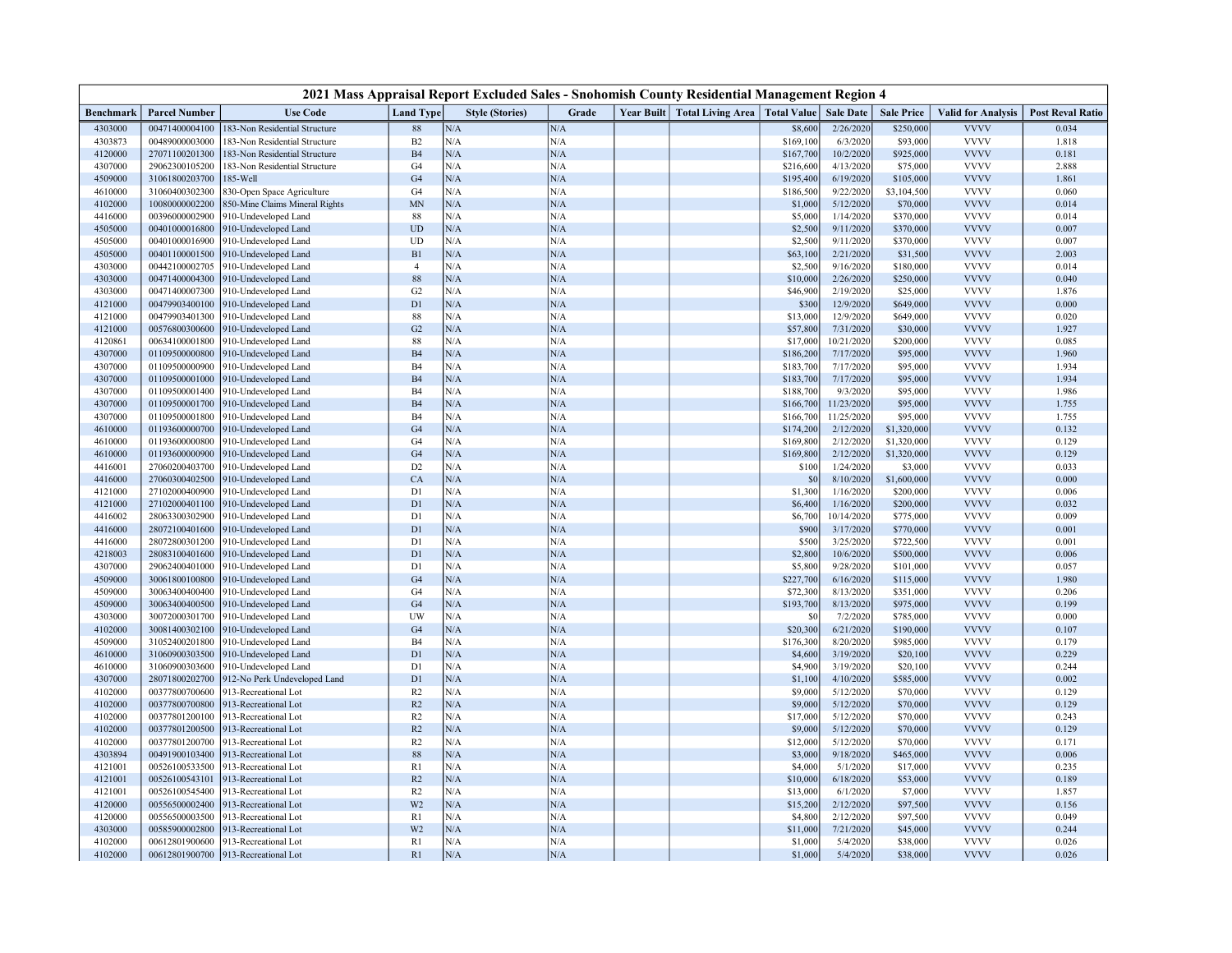| 2021 Mass Appraisal Report Excluded Sales - Snohomish County Residential Management Region 4 |                                  |                                              |                      |                        |                  |  |                              |                         |                        |                        |                            |                         |
|----------------------------------------------------------------------------------------------|----------------------------------|----------------------------------------------|----------------------|------------------------|------------------|--|------------------------------|-------------------------|------------------------|------------------------|----------------------------|-------------------------|
| Benchmark                                                                                    | <b>Parcel Number</b>             | <b>Use Code</b>                              | <b>Land Type</b>     | <b>Style (Stories)</b> | Grade            |  | Year Built Total Living Area | Total Value   Sale Date |                        | <b>Sale Price</b>      | <b>Valid for Analysis</b>  | <b>Post Reval Ratio</b> |
| 4303000                                                                                      | 00471400004100                   | 183-Non Residential Structure                | 88                   | N/A                    | N/A              |  |                              | \$8,600                 | 2/26/2020              | \$250,000              | <b>VVVV</b>                | 0.034                   |
| 4303873                                                                                      | 00489000003000                   | 183-Non Residential Structure                | B <sub>2</sub>       | N/A                    | N/A              |  |                              | \$169,100               | 6/3/2020               | \$93,000               | <b>VVVV</b>                | 1.818                   |
| 4120000                                                                                      | 27071100201300                   | 183-Non Residential Structure                | B <sub>4</sub>       | N/A                    | N/A              |  |                              | \$167,700               | 10/2/2020              | \$925,000              | <b>VVVV</b>                | 0.181                   |
| 4307000                                                                                      | 29062300105200                   | 183-Non Residential Structure                | G4                   | N/A                    | N/A              |  |                              | \$216,600               | 4/13/2020              | \$75,000               | <b>VVVV</b>                | 2.888                   |
| 4509000                                                                                      | 31061800203700                   | $185$ -Well                                  | G4                   | N/A                    | N/A              |  |                              | \$195,400               | 6/19/2020              | \$105,000              | <b>VVVV</b>                | 1.861                   |
| 4610000                                                                                      | 31060400302300                   | 330-Open Space Agriculture                   | G4                   | N/A                    | $\rm N/A$        |  |                              | \$186,500               | 9/22/2020              | \$3,104,500            | <b>VVVV</b>                | 0.060                   |
| 4102000                                                                                      | 10080000002200                   | 850-Mine Claims Mineral Rights               | <b>MN</b>            | N/A                    | $\rm N/A$        |  |                              | \$1,000                 | 5/12/2020              | \$70,000               | <b>VVVV</b>                | 0.014                   |
| 4416000                                                                                      | 00396000002900                   | 910-Undeveloped Land                         | 88                   | N/A                    | N/A              |  |                              | \$5,000                 | 1/14/2020              | \$370,000              | <b>VVVV</b>                | 0.014                   |
| 4505000                                                                                      | 00401000016800                   | 910-Undeveloped Land                         | <b>UD</b>            | N/A                    | $\rm N/A$        |  |                              | \$2,500                 | 9/11/2020              | \$370,000              | <b>VVVV</b>                | 0.007                   |
| 4505000                                                                                      | 00401000016900                   | 910-Undeveloped Land                         | UD                   | N/A                    | N/A              |  |                              | \$2,500                 | 9/11/2020              | \$370,000              | <b>VVVV</b>                | 0.007                   |
| 4505000                                                                                      | 00401100001500                   | 910-Undeveloped Land                         | B1                   | N/A                    | N/A              |  |                              | \$63,100                | 2/21/2020              | \$31,500               | <b>VVVV</b>                | 2.003                   |
| 4303000                                                                                      | 00442100002705                   | 910-Undeveloped Land                         | $\overline{4}$       | N/A                    | N/A              |  |                              | \$2,500                 | 9/16/2020              | \$180,000              | <b>VVVV</b>                | 0.014                   |
| 4303000                                                                                      | 00471400004300                   | 910-Undeveloped Land                         | 88                   | N/A<br>N/A             | N/A              |  |                              | \$10,000                | 2/26/2020              | \$250,000              | <b>VVVV</b><br><b>VVVV</b> | 0.040                   |
| 4303000                                                                                      | 00471400007300                   | 910-Undeveloped Land                         | G2                   |                        | N/A<br>N/A       |  |                              | \$46,900                | 2/19/2020              | \$25,000               | <b>VVVV</b>                | 1.876                   |
| 4121000<br>4121000                                                                           | 00479903400100<br>00479903401300 | 910-Undeveloped Land                         | D1<br>88             | N/A<br>N/A             | N/A              |  |                              | \$300                   | 12/9/2020<br>12/9/2020 | \$649,000<br>\$649,000 | <b>VVVV</b>                | 0.000<br>0.020          |
| 4121000                                                                                      |                                  | 910-Undeveloped Land                         |                      | N/A                    | N/A              |  |                              | \$13,000<br>\$57,800    | 7/31/2020              |                        | <b>VVVV</b>                | 1.927                   |
| 4120861                                                                                      | 00576800300600                   | 910-Undeveloped Land                         | G2<br>$88\,$         | N/A                    | N/A              |  |                              | \$17,000                | 10/21/2020             | \$30,000<br>\$200,000  | <b>VVVV</b>                | 0.085                   |
| 4307000                                                                                      | 00634100001800<br>01109500000800 | 910-Undeveloped Land<br>910-Undeveloped Land | B <sub>4</sub>       | N/A                    | N/A              |  |                              | \$186,200               | 7/17/2020              | \$95,000               | <b>VVVV</b>                | 1.960                   |
| 4307000                                                                                      | 01109500000900                   | 910-Undeveloped Land                         | B4                   | N/A                    | N/A              |  |                              | \$183,700               | 7/17/2020              | \$95,000               | <b>VVVV</b>                | 1.934                   |
| 4307000                                                                                      | 01109500001000                   | 910-Undeveloped Land                         | B4                   | N/A                    | N/A              |  |                              | \$183,700               | 7/17/2020              | \$95,000               | <b>VVVV</b>                | 1.934                   |
| 4307000                                                                                      | 01109500001400                   | 910-Undeveloped Land                         | B4                   | N/A                    | $\rm N/A$        |  |                              | \$188,700               | 9/3/2020               | \$95,000               | <b>VVVV</b>                | 1.986                   |
| 4307000                                                                                      | 01109500001700                   | 910-Undeveloped Land                         | B4                   | N/A                    | $\rm N/A$        |  |                              | \$166,700               | 11/23/2020             | \$95,000               | <b>VVVV</b>                | 1.755                   |
| 4307000                                                                                      | 01109500001800                   | 910-Undeveloped Land                         | <b>B4</b>            | N/A                    | $\rm N/A$        |  |                              | \$166,700               | 11/25/2020             | \$95,000               | <b>VVVV</b>                | 1.755                   |
| 4610000                                                                                      | 01193600000700                   | 910-Undeveloped Land                         | G <sub>4</sub>       | N/A                    | $\rm N/A$        |  |                              | \$174,200               | 2/12/2020              | \$1,320,000            | <b>VVVV</b>                | 0.132                   |
| 4610000                                                                                      | 01193600000800                   | 910-Undeveloped Land                         | G <sub>4</sub>       | N/A                    | N/A              |  |                              | \$169,800               | 2/12/2020              | \$1,320,000            | <b>VVVV</b>                | 0.129                   |
| 4610000                                                                                      | 01193600000900                   | 910-Undeveloped Land                         | G4                   | N/A                    | N/A              |  |                              | \$169,800               | 2/12/2020              | \$1,320,000            | <b>VVVV</b>                | 0.129                   |
| 4416001                                                                                      | 27060200403700                   | 910-Undeveloped Land                         | D <sub>2</sub>       | N/A                    | N/A              |  |                              | \$100                   | 1/24/2020              | \$3,000                | <b>VVVV</b>                | 0.033                   |
| 4416000                                                                                      | 27060300402500                   | 910-Undeveloped Land                         | CA                   | N/A                    | N/A              |  |                              | \$0                     | 8/10/2020              | \$1,600,000            | <b>VVVV</b>                | 0.000                   |
| 4121000                                                                                      | 27102000400900                   | 910-Undeveloped Land                         | D1                   | N/A                    | N/A              |  |                              | \$1,300                 | 1/16/2020              | \$200,000              | <b>VVVV</b>                | 0.006                   |
| 4121000                                                                                      | 27102000401100                   | 910-Undeveloped Land                         | D1                   | N/A                    | $\rm N/A$        |  |                              | \$6,400                 | 1/16/2020              | \$200,000              | <b>VVVV</b>                | 0.032                   |
| 4416002                                                                                      | 28063300302900                   | 910-Undeveloped Land                         | D1                   | N/A                    | N/A              |  |                              | \$6,700                 | 10/14/2020             | \$775,000              | <b>VVVV</b>                | 0.009                   |
| 4416000                                                                                      | 28072100401600                   | 910-Undeveloped Land                         | D1                   | N/A                    | N/A              |  |                              | \$900                   | 3/17/2020              | \$770,000              | <b>VVVV</b>                | 0.001                   |
| 4416000                                                                                      | 28072800301200                   | 910-Undeveloped Land                         | D1                   | N/A                    | N/A              |  |                              | \$500                   | 3/25/2020              | \$722,500              | <b>VVVV</b>                | 0.001                   |
| 4218003                                                                                      | 28083100401600                   | 910-Undeveloped Land                         | D1                   | N/A                    | N/A              |  |                              | \$2,800                 | 10/6/2020              | \$500,000              | <b>VVVV</b>                | 0.006                   |
| 4307000                                                                                      | 29062400401000                   | 910-Undeveloped Land                         | D1                   | N/A                    | N/A              |  |                              | \$5,800                 | 9/28/2020              | \$101,000              | <b>VVVV</b>                | 0.057                   |
| 4509000                                                                                      | 30061800100800                   | 910-Undeveloped Land                         | G4                   | N/A                    | N/A              |  |                              | \$227,700               | 6/16/2020              | \$115,000              | <b>VVVV</b>                | 1.980                   |
| 4509000                                                                                      | 30063400400400                   | 910-Undeveloped Land                         | G4                   | N/A                    | N/A              |  |                              | \$72,300                | 8/13/2020              | \$351,000              | <b>VVVV</b>                | 0.206                   |
| 4509000                                                                                      | 30063400400500                   | 910-Undeveloped Land                         | G <sub>4</sub>       | N/A                    | N/A              |  |                              | \$193,700               | 8/13/2020              | \$975,000              | <b>VVVV</b>                | 0.199                   |
| 4303000                                                                                      | 30072000301700                   | 910-Undeveloped Land                         | UW                   | N/A                    | $\rm N/A$        |  |                              | \$0                     | 7/2/2020               | \$785,000              | <b>VVVV</b>                | 0.000                   |
| 4102000                                                                                      | 30081400302100                   | 910-Undeveloped Land                         | G <sub>4</sub>       | N/A                    | $\rm N/A$        |  |                              | \$20,300                | 6/21/2020              | \$190,000              | <b>VVVV</b>                | 0.107                   |
| 4509000                                                                                      | 31052400201800                   | 910-Undeveloped Land                         | B4                   | N/A                    | N/A              |  |                              | \$176,300               | 8/20/2020              | \$985,000              | <b>VVVV</b>                | 0.179                   |
| 4610000                                                                                      | 31060900303500                   | 910-Undeveloped Land                         | D <sub>1</sub>       | N/A                    | N/A              |  |                              | \$4,600                 | 3/19/2020              | \$20,100               | <b>VVVV</b>                | 0.229                   |
| 4610000                                                                                      | 31060900303600                   | 910-Undeveloped Land                         | D <sub>1</sub>       | N/A                    | N/A              |  |                              | \$4,900                 | 3/19/2020              | \$20,100               | <b>VVVV</b>                | 0.244                   |
| 4307000                                                                                      | 28071800202700                   | 912-No Perk Undeveloped Land                 | D1                   | N/A                    | N/A              |  |                              | \$1,100                 | 4/10/2020              | \$585,000              | <b>VVVV</b>                | 0.002                   |
| 4102000                                                                                      | 00377800700600                   | 913-Recreational Lot                         | R <sub>2</sub>       | N/A                    | N/A              |  |                              | \$9,000                 | 5/12/2020              | \$70,000               | <b>VVVV</b>                | 0.129                   |
| 4102000                                                                                      | 00377800700800                   | 913-Recreational Lot                         | R2                   | N/A                    | $\rm N/A$        |  |                              | \$9,000                 | 5/12/2020              | \$70,000               | <b>VVVV</b>                | 0.129                   |
| 4102000                                                                                      | 00377801200100                   | 913-Recreational Lot                         | R2                   | N/A                    | N/A              |  |                              | \$17,000                | 5/12/2020              | \$70,000               | <b>VVVV</b>                | 0.243                   |
| 4102000                                                                                      | 00377801200500                   | 913-Recreational Lot                         | R2                   | N/A                    | $\rm N/A$        |  |                              | \$9,000                 | 5/12/2020              | \$70,000               | <b>VVVV</b>                | 0.129                   |
| 4102000                                                                                      | 00377801200700                   | 913-Recreational Lot                         | R2                   | N/A                    | N/A              |  |                              | \$12,000                | 5/12/2020              | \$70,000               | <b>VVVV</b>                | 0.171                   |
| 4303894                                                                                      | 00491900103400                   | 913-Recreational Lot                         | $88\,$               | N/A                    | N/A              |  |                              | \$3,000                 | 9/18/2020              | \$465,000              | <b>VVVV</b>                | 0.006                   |
| 4121001                                                                                      | 00526100533500                   | 913-Recreational Lot                         | R1                   | N/A<br>N/A             | N/A              |  |                              | \$4,000                 | 5/1/2020               | \$17,000               | <b>VVVV</b><br><b>VVVV</b> | 0.235                   |
| 4121001                                                                                      | 00526100543101                   | 913-Recreational Lot                         | R2                   | N/A                    | N/A              |  |                              | \$10,000                | 6/18/2020              | \$53,000               | <b>VVVV</b>                | 0.189                   |
| 4121001                                                                                      | 00526100545400                   | 013-Recreational Lot                         | R2                   | N/A                    | N/A              |  |                              | \$13,000                | 6/1/2020<br>2/12/2020  | \$7,000<br>\$97,500    | <b>VVVV</b>                | 1.857<br>0.156          |
| 4120000                                                                                      | 00556500002400                   | 913-Recreational Lot                         | W <sub>2</sub>       | N/A                    | $\rm N/A$<br>N/A |  |                              | \$15,200                |                        |                        | <b>VVVV</b>                |                         |
| 4120000<br>4303000                                                                           | 00556500003500<br>00585900002800 | 913-Recreational Lot<br>913-Recreational Lot | R1<br>W <sub>2</sub> | N/A                    | $\rm N/A$        |  |                              | \$4,800<br>\$11,000     | 2/12/2020<br>7/21/2020 | \$97,500<br>\$45,000   | <b>VVVV</b>                | 0.049<br>0.244          |
| 4102000                                                                                      | 00612801900600                   | 913-Recreational Lot                         | R1                   | N/A                    | N/A              |  |                              | \$1,000                 | 5/4/2020               | \$38,000               | <b>VVVV</b>                | 0.026                   |
| 4102000                                                                                      | 00612801900700                   | 913-Recreational Lot                         | R <sub>1</sub>       | N/A                    | N/A              |  |                              | \$1,000                 | 5/4/2020               | \$38,000               | <b>VVVV</b>                | 0.026                   |
|                                                                                              |                                  |                                              |                      |                        |                  |  |                              |                         |                        |                        |                            |                         |